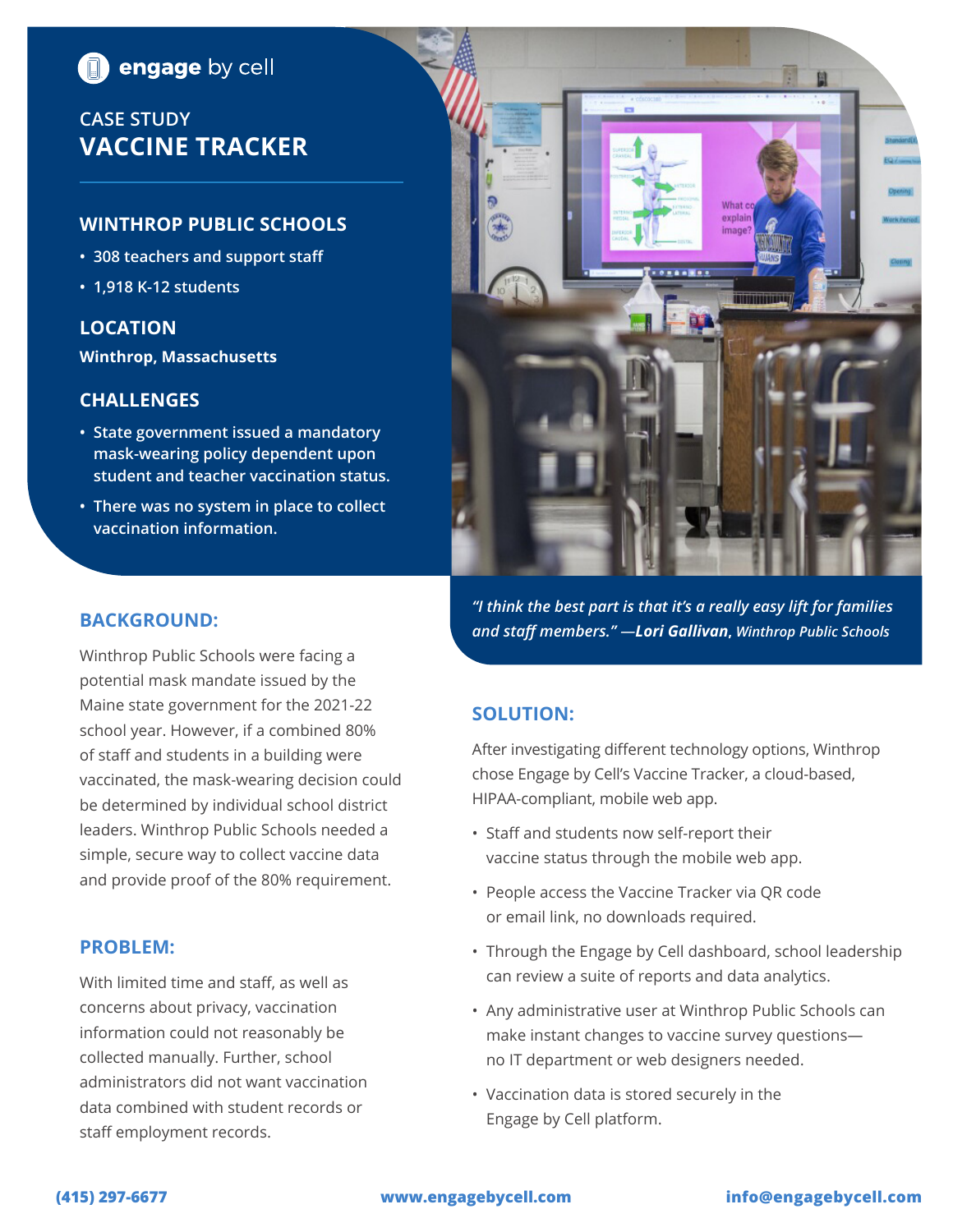# **n** engage by cell

# **CASE STUDY VACCINE TRACKER**

# **WINTHROP PUBLIC SCHOOLS**

- **• 308 teachers and support staff**
- **• 1,918 K-12 students**

## **LOCATION**

**Winthrop, Massachusetts**

### **CHALLENGES**

- **• State government issued a mandatory mask-wearing policy dependent upon student and teacher vaccination status.**
- **• There was no system in place to collect vaccination information.**



*"I think the best part is that it's a really easy lift for families and staff members." —Lori Gallivan***,** *Winthrop Public Schools*

# **SOLUTION:**

After investigating different technology options, Winthrop chose Engage by Cell's Vaccine Tracker, a cloud-based, HIPAA-compliant, mobile web app.

- Staff and students now self-report their vaccine status through the mobile web app.
- People access the Vaccine Tracker via QR code or email link, no downloads required.
- Through the Engage by Cell dashboard, school leadership can review a suite of reports and data analytics.
- Any administrative user at Winthrop Public Schools can make instant changes to vaccine survey questions no IT department or web designers needed.
- Vaccination data is stored securely in the Engage by Cell platform.

# **BACKGROUND:**

Winthrop Public Schools were facing a potential mask mandate issued by the Maine state government for the 2021-22 school year. However, if a combined 80% of staff and students in a building were vaccinated, the mask-wearing decision could be determined by individual school district leaders. Winthrop Public Schools needed a simple, secure way to collect vaccine data and provide proof of the 80% requirement.

#### **PROBLEM:**

With limited time and staff, as well as concerns about privacy, vaccination information could not reasonably be collected manually. Further, school administrators did not want vaccination data combined with student records or staff employment records.